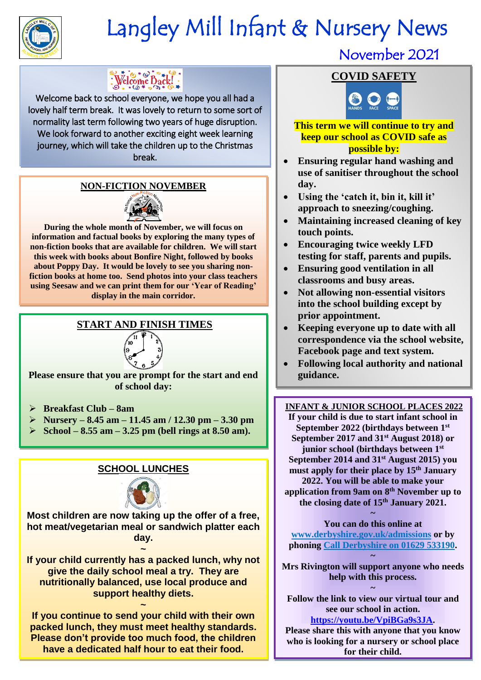

## Langley Mill Infant & Nursery News

### $\frac{1}{2}$  Welcome Dack!

Welcome back to school everyone, we hope you all had a lovely half term break. It was lovely to return to some sort of normality last term following two years of huge disruption. We look forward to another exciting eight week learning journey, which will take the children up to the Christmas break.

### **NON-FICTION NOVEMBER**



**During the whole month of November, we will focus on information and factual books by exploring the many types of non-fiction books that are available for children. We will start this week with books about Bonfire Night, followed by books about Poppy Day. It would be lovely to see you sharing nonfiction books at home too. Send photos into your class teachers using Seesaw and we can print them for our 'Year of Reading' display in the main corridor.** 

### **START AND FINISH TIMES**



**Please ensure that you are prompt for the start and end of school day:**

- ➢ **Breakfast Club – 8am**
- ➢ **Nursery – 8.45 am – 11.45 am / 12.30 pm – 3.30 pm**
- ➢ **School – 8.55 am – 3.25 pm (bell rings at 8.50 am).**

### **SCHOOL LUNCHES**



**Most children are now taking up the offer of a free, hot meat/vegetarian meal or sandwich platter each day.** 

**~ If your child currently has a packed lunch, why not give the daily school meal a try. They are nutritionally balanced, use local produce and support healthy diets.** 

**~ If you continue to send your child with their own packed lunch, they must meet healthy standards. Please don't provide too much food, the children have a dedicated half hour to eat their food.** 

# November 2<br><mark>COVID SAFETY</mark>

November 2021



### **This term we will continue to try and keep our school as COVID safe as possible by:**

- **Ensuring regular hand washing and use of sanitiser throughout the school day.**
- **Using the 'catch it, bin it, kill it' approach to sneezing/coughing.**
- **Maintaining increased cleaning of key touch points.**
- **Encouraging twice weekly LFD testing for staff, parents and pupils.**
- **Ensuring good ventilation in all classrooms and busy areas.**
- **Not allowing non-essential visitors into the school building except by prior appointment.**
- **Keeping everyone up to date with all correspondence via the school website, Facebook page and text system.**
- **Following local authority and national guidance.**

 **junior school (birthdays between 1st INFANT & JUNIOR SCHOOL PLACES 2022 If your child is due to start infant school in September 2022 (birthdays between 1st September 2017 and 31st August 2018) or September 2014 and 31st August 2015) you must apply for their place by 15 th January 2022. You will be able to make your application from 9am on 8 th November up to the closing date of 15th January 2021.** 

> **~ You can do this online at**

**[www.derbyshire.gov.uk/](http://www.derbyshire.gov.uk/)admissions or by phoning Call Derbyshire on 01629 533190. ~**

**Mrs Rivington will support anyone who needs help with this process.** 

**~ Follow the link to view our virtual tour and see our school in action.** 

**[https://youtu.be/VpiBGa9s3JA.](https://youtu.be/VpiBGa9s3JA) Please share this with anyone that you know who is looking for a nursery or school place for their child.** 

Ï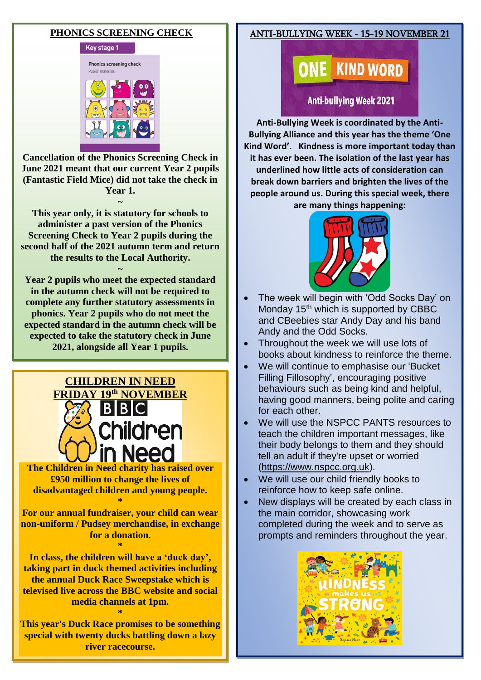#### **PHONICS SCREENING CHECK**



**Cancellation of the Phonics Screening Check in June 2021 meant that our current Year 2 pupils (Fantastic Field Mice) did not take the check in Year 1.** 

**~ This year only, it is statutory for schools to administer a past version of the Phonics Screening Check to Year 2 pupils during the second half of the 2021 autumn term and return the results to the Local Authority.**

**~**

**Year 2 pupils who meet the expected standard in the autumn check will not be required to complete any further statutory assessments in phonics. Year 2 pupils who do not meet the expected standard in the autumn check will be expected to take the statutory check in June 2021, alongside all Year 1 pupils.**

**~**



**The [Children in Need](https://www.thesun.co.uk/topic/children-in-need/) charity has raised over £950 million to change the lives of disadvantaged children and young people. \***

**For our annual fundraiser, your child can wear non-uniform / Pudsey merchandise, in exchange for a donation.** 

**\* In class, the children will have a 'duck day', taking part in duck themed activities including the annual Duck Race Sweepstake which is televised live across the BBC website and social media channels at 1pm.** 

**This year's Duck Race promises to be something special with twenty ducks battling down a lazy river racecourse.**

**\***

### ANTI-BULLYING WEEK - 15-19 NOVEMBER 21

**E** KIND WORD

**Anti-bullying Week 2021** 

I **Anti-Bullying Week is coordinated by the Anti-Bullying Alliance and this year has the theme 'One Kind Word'. Kindness is more important today than it has ever been. The isolation of the last year has underlined how little acts of consideration can break down barriers and brighten the lives of the people around us. During this special week, there are many things happening:**



- The week will begin with 'Odd Socks Day' on Monday 15<sup>th</sup> which is supported by CBBC and CBeebies star Andy Day and his band Andy and the Odd Socks.
- Throughout the week we will use lots of books about kindness to reinforce the theme.
- We will continue to emphasise our 'Bucket Filling Fillosophy', encouraging positive behaviours such as being kind and helpful, having good manners, being polite and caring for each other.
- We will use the NSPCC PANTS resources to teach the children important messages, like their body belongs to them and they should tell an adult if they're upset or worried [\(https://www.nspcc.org.uk\)](https://www.nspcc.org.uk/).
- We will use our child friendly books to reinforce how to keep safe online.
- New displays will be created by each class in the main corridor, showcasing work completed during the week and to serve as prompts and reminders throughout the year.